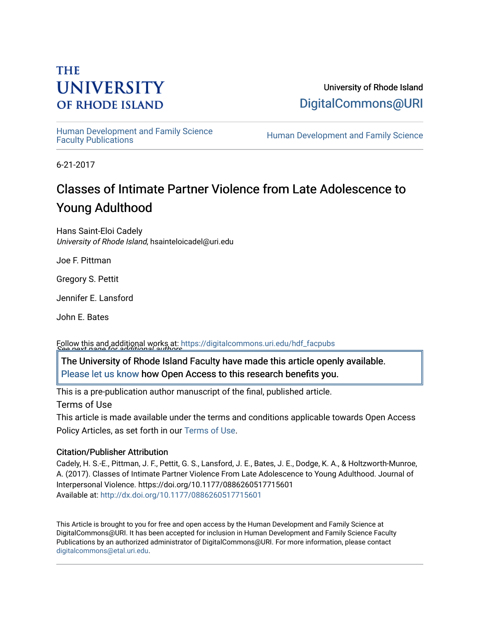# **THE UNIVERSITY OF RHODE ISLAND**

University of Rhode Island [DigitalCommons@URI](https://digitalcommons.uri.edu/) 

Human Development and Family Science<br>Faculty Publications

Human Development and Family Science

6-21-2017

# Classes of Intimate Partner Violence from Late Adolescence to Young Adulthood

Hans Saint-Eloi Cadely University of Rhode Island, hsainteloicadel@uri.edu

Joe F. Pittman

Gregory S. Pettit

Jennifer E. Lansford

John E. Bates

See next page for additional authors Follow this and additional works at: [https://digitalcommons.uri.edu/hdf\\_facpubs](https://digitalcommons.uri.edu/hdf_facpubs?utm_source=digitalcommons.uri.edu%2Fhdf_facpubs%2F31&utm_medium=PDF&utm_campaign=PDFCoverPages) 

The University of Rhode Island Faculty have made this article openly available. [Please let us know](http://web.uri.edu/library-digital-initiatives/open-access-online-form/) how Open Access to this research benefits you.

This is a pre-publication author manuscript of the final, published article.

Terms of Use

This article is made available under the terms and conditions applicable towards Open Access Policy Articles, as set forth in our [Terms of Use](https://digitalcommons.uri.edu/hdf_facpubs/oa_policy_terms.html).

# Citation/Publisher Attribution

Cadely, H. S.-E., Pittman, J. F., Pettit, G. S., Lansford, J. E., Bates, J. E., Dodge, K. A., & Holtzworth-Munroe, A. (2017). Classes of Intimate Partner Violence From Late Adolescence to Young Adulthood. Journal of Interpersonal Violence. https://doi.org/10.1177/0886260517715601 Available at:<http://dx.doi.org/10.1177/0886260517715601>

This Article is brought to you for free and open access by the Human Development and Family Science at DigitalCommons@URI. It has been accepted for inclusion in Human Development and Family Science Faculty Publications by an authorized administrator of DigitalCommons@URI. For more information, please contact [digitalcommons@etal.uri.edu](mailto:digitalcommons@etal.uri.edu).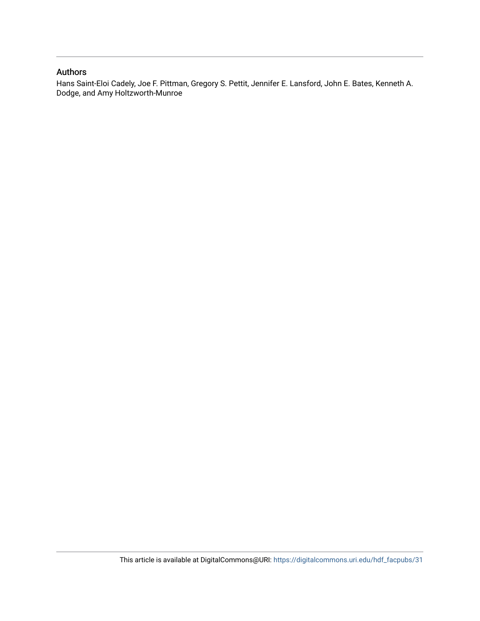# Authors

Hans Saint-Eloi Cadely, Joe F. Pittman, Gregory S. Pettit, Jennifer E. Lansford, John E. Bates, Kenneth A. Dodge, and Amy Holtzworth-Munroe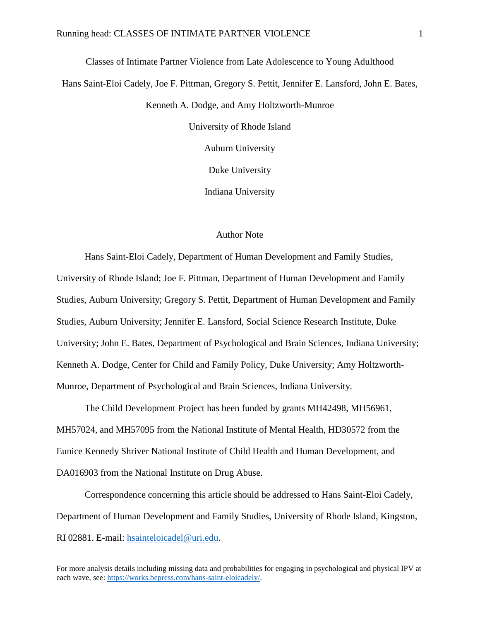Classes of Intimate Partner Violence from Late Adolescence to Young Adulthood Hans Saint-Eloi Cadely, Joe F. Pittman, Gregory S. Pettit, Jennifer E. Lansford, John E. Bates, Kenneth A. Dodge, and Amy Holtzworth-Munroe University of Rhode Island Auburn University Duke University Indiana University

## Author Note

Hans Saint-Eloi Cadely, Department of Human Development and Family Studies, University of Rhode Island; Joe F. Pittman, Department of Human Development and Family Studies, Auburn University; Gregory S. Pettit, Department of Human Development and Family Studies, Auburn University; Jennifer E. Lansford, Social Science Research Institute, Duke University; John E. Bates, Department of Psychological and Brain Sciences, Indiana University; Kenneth A. Dodge, Center for Child and Family Policy, Duke University; Amy Holtzworth-Munroe, Department of Psychological and Brain Sciences, Indiana University.

The Child Development Project has been funded by grants MH42498, MH56961, MH57024, and MH57095 from the National Institute of Mental Health, HD30572 from the Eunice Kennedy Shriver National Institute of Child Health and Human Development, and DA016903 from the National Institute on Drug Abuse.

Correspondence concerning this article should be addressed to Hans Saint-Eloi Cadely, Department of Human Development and Family Studies, University of Rhode Island, Kingston, RI 02881. E-mail: [hsainteloicadel@uri.edu.](mailto:hsainteloicadel@uri.edu)

For more analysis details including missing data and probabilities for engaging in psychological and physical IPV at each wave, see: [https://works.bepress.com/hans-saint-eloicadely/.](https://works.bepress.com/hans-saint-eloicadely/)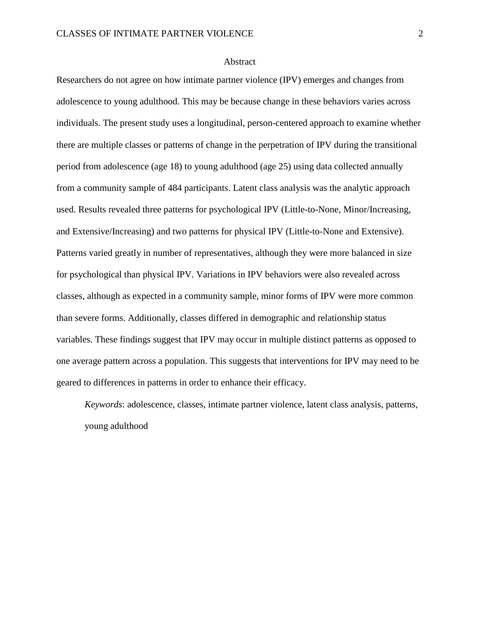## Abstract

Researchers do not agree on how intimate partner violence (IPV) emerges and changes from adolescence to young adulthood. This may be because change in these behaviors varies across individuals. The present study uses a longitudinal, person-centered approach to examine whether there are multiple classes or patterns of change in the perpetration of IPV during the transitional period from adolescence (age 18) to young adulthood (age 25) using data collected annually from a community sample of 484 participants. Latent class analysis was the analytic approach used. Results revealed three patterns for psychological IPV (Little-to-None, Minor/Increasing, and Extensive/Increasing) and two patterns for physical IPV (Little-to-None and Extensive). Patterns varied greatly in number of representatives, although they were more balanced in size for psychological than physical IPV. Variations in IPV behaviors were also revealed across classes, although as expected in a community sample, minor forms of IPV were more common than severe forms. Additionally, classes differed in demographic and relationship status variables. These findings suggest that IPV may occur in multiple distinct patterns as opposed to one average pattern across a population. This suggests that interventions for IPV may need to be geared to differences in patterns in order to enhance their efficacy.

*Keywords*: adolescence, classes, intimate partner violence, latent class analysis, patterns, young adulthood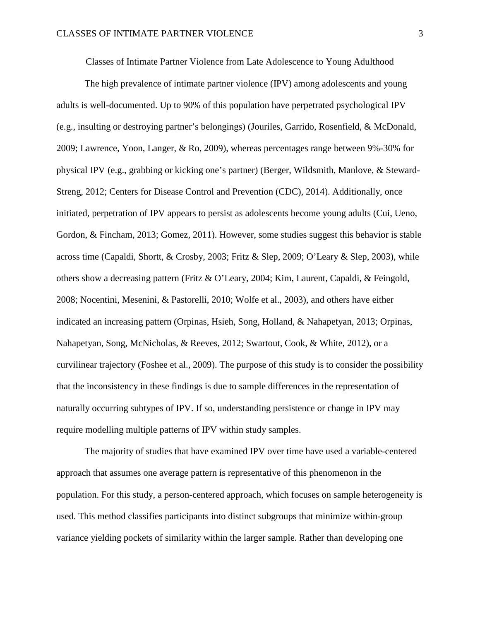Classes of Intimate Partner Violence from Late Adolescence to Young Adulthood

The high prevalence of intimate partner violence (IPV) among adolescents and young adults is well-documented. Up to 90% of this population have perpetrated psychological IPV (e.g., insulting or destroying partner's belongings) (Jouriles, Garrido, Rosenfield, & McDonald, 2009; Lawrence, Yoon, Langer, & Ro, 2009), whereas percentages range between 9%-30% for physical IPV (e.g., grabbing or kicking one's partner) (Berger, Wildsmith, Manlove, & Steward-Streng, 2012; Centers for Disease Control and Prevention (CDC), 2014). Additionally, once initiated, perpetration of IPV appears to persist as adolescents become young adults (Cui, Ueno, Gordon, & Fincham, 2013; Gomez, 2011). However, some studies suggest this behavior is stable across time (Capaldi, Shortt, & Crosby, 2003; Fritz & Slep, 2009; O'Leary & Slep, 2003), while others show a decreasing pattern (Fritz & O'Leary, 2004; Kim, Laurent, Capaldi, & Feingold, 2008; Nocentini, Mesenini, & Pastorelli, 2010; Wolfe et al., 2003), and others have either indicated an increasing pattern (Orpinas, Hsieh, Song, Holland, & Nahapetyan, 2013; Orpinas, Nahapetyan, Song, McNicholas, & Reeves, 2012; Swartout, Cook, & White, 2012), or a curvilinear trajectory (Foshee et al., 2009). The purpose of this study is to consider the possibility that the inconsistency in these findings is due to sample differences in the representation of naturally occurring subtypes of IPV. If so, understanding persistence or change in IPV may require modelling multiple patterns of IPV within study samples.

The majority of studies that have examined IPV over time have used a variable-centered approach that assumes one average pattern is representative of this phenomenon in the population. For this study, a person-centered approach, which focuses on sample heterogeneity is used. This method classifies participants into distinct subgroups that minimize within-group variance yielding pockets of similarity within the larger sample. Rather than developing one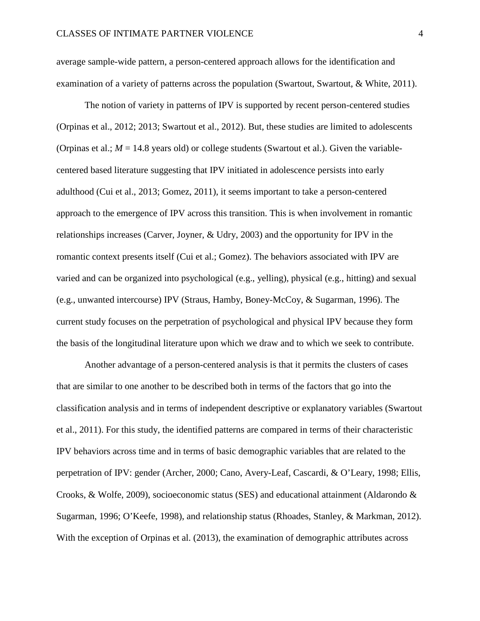average sample-wide pattern, a person-centered approach allows for the identification and examination of a variety of patterns across the population (Swartout, Swartout, & White, 2011).

The notion of variety in patterns of IPV is supported by recent person-centered studies (Orpinas et al., 2012; 2013; Swartout et al., 2012). But, these studies are limited to adolescents (Orpinas et al.;  $M = 14.8$  years old) or college students (Swartout et al.). Given the variablecentered based literature suggesting that IPV initiated in adolescence persists into early adulthood (Cui et al., 2013; Gomez, 2011), it seems important to take a person-centered approach to the emergence of IPV across this transition. This is when involvement in romantic relationships increases (Carver, Joyner, & Udry, 2003) and the opportunity for IPV in the romantic context presents itself (Cui et al.; Gomez). The behaviors associated with IPV are varied and can be organized into psychological (e.g., yelling), physical (e.g., hitting) and sexual (e.g., unwanted intercourse) IPV (Straus, Hamby, Boney-McCoy, & Sugarman, 1996). The current study focuses on the perpetration of psychological and physical IPV because they form the basis of the longitudinal literature upon which we draw and to which we seek to contribute.

Another advantage of a person-centered analysis is that it permits the clusters of cases that are similar to one another to be described both in terms of the factors that go into the classification analysis and in terms of independent descriptive or explanatory variables (Swartout et al., 2011). For this study, the identified patterns are compared in terms of their characteristic IPV behaviors across time and in terms of basic demographic variables that are related to the perpetration of IPV: gender (Archer, 2000; Cano, Avery-Leaf, Cascardi, & O'Leary, 1998; Ellis, Crooks, & Wolfe, 2009), socioeconomic status (SES) and educational attainment (Aldarondo & Sugarman, 1996; O'Keefe, 1998), and relationship status (Rhoades, Stanley, & Markman, 2012). With the exception of Orpinas et al. (2013), the examination of demographic attributes across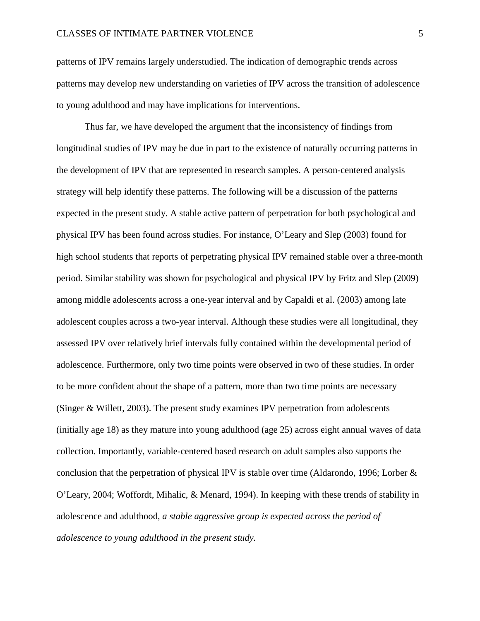patterns of IPV remains largely understudied. The indication of demographic trends across patterns may develop new understanding on varieties of IPV across the transition of adolescence to young adulthood and may have implications for interventions.

Thus far, we have developed the argument that the inconsistency of findings from longitudinal studies of IPV may be due in part to the existence of naturally occurring patterns in the development of IPV that are represented in research samples. A person-centered analysis strategy will help identify these patterns. The following will be a discussion of the patterns expected in the present study. A stable active pattern of perpetration for both psychological and physical IPV has been found across studies. For instance, O'Leary and Slep (2003) found for high school students that reports of perpetrating physical IPV remained stable over a three-month period. Similar stability was shown for psychological and physical IPV by Fritz and Slep (2009) among middle adolescents across a one-year interval and by Capaldi et al. (2003) among late adolescent couples across a two-year interval. Although these studies were all longitudinal, they assessed IPV over relatively brief intervals fully contained within the developmental period of adolescence. Furthermore, only two time points were observed in two of these studies. In order to be more confident about the shape of a pattern, more than two time points are necessary (Singer & Willett, 2003). The present study examines IPV perpetration from adolescents (initially age 18) as they mature into young adulthood (age 25) across eight annual waves of data collection. Importantly, variable-centered based research on adult samples also supports the conclusion that the perpetration of physical IPV is stable over time (Aldarondo, 1996; Lorber & O'Leary, 2004; Woffordt, Mihalic, & Menard, 1994). In keeping with these trends of stability in adolescence and adulthood, *a stable aggressive group is expected across the period of adolescence to young adulthood in the present study.*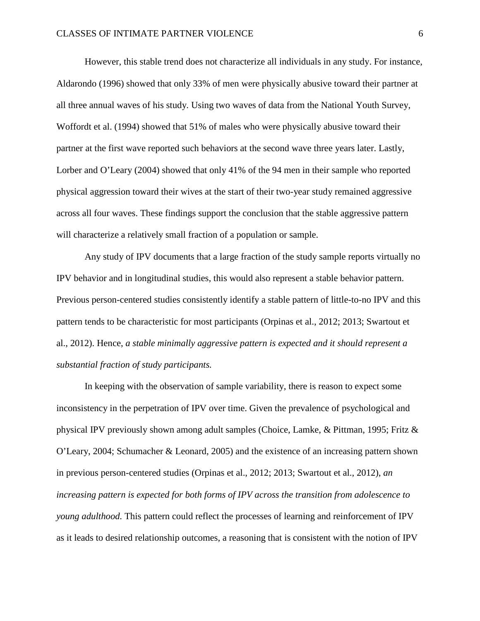However, this stable trend does not characterize all individuals in any study. For instance, Aldarondo (1996) showed that only 33% of men were physically abusive toward their partner at all three annual waves of his study. Using two waves of data from the National Youth Survey, Woffordt et al. (1994) showed that 51% of males who were physically abusive toward their partner at the first wave reported such behaviors at the second wave three years later. Lastly, Lorber and O'Leary (2004) showed that only 41% of the 94 men in their sample who reported physical aggression toward their wives at the start of their two-year study remained aggressive across all four waves. These findings support the conclusion that the stable aggressive pattern will characterize a relatively small fraction of a population or sample.

Any study of IPV documents that a large fraction of the study sample reports virtually no IPV behavior and in longitudinal studies, this would also represent a stable behavior pattern. Previous person-centered studies consistently identify a stable pattern of little-to-no IPV and this pattern tends to be characteristic for most participants (Orpinas et al., 2012; 2013; Swartout et al., 2012). Hence, *a stable minimally aggressive pattern is expected and it should represent a substantial fraction of study participants.* 

In keeping with the observation of sample variability, there is reason to expect some inconsistency in the perpetration of IPV over time. Given the prevalence of psychological and physical IPV previously shown among adult samples (Choice, Lamke, & Pittman, 1995; Fritz & O'Leary, 2004; Schumacher & Leonard, 2005) and the existence of an increasing pattern shown in previous person-centered studies (Orpinas et al., 2012; 2013; Swartout et al., 2012), *an increasing pattern is expected for both forms of IPV across the transition from adolescence to young adulthood.* This pattern could reflect the processes of learning and reinforcement of IPV as it leads to desired relationship outcomes, a reasoning that is consistent with the notion of IPV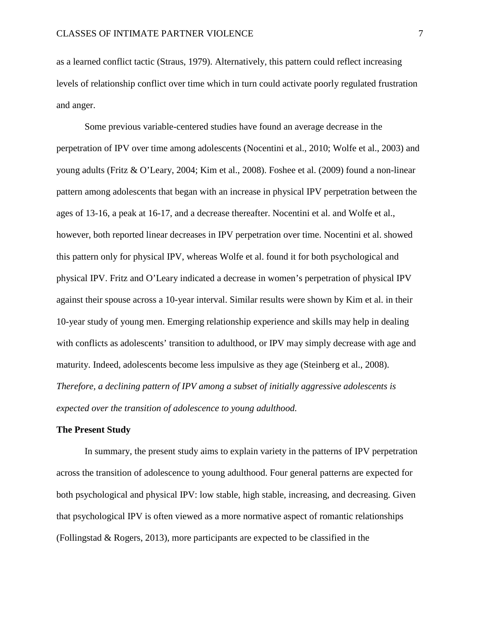as a learned conflict tactic (Straus, 1979). Alternatively, this pattern could reflect increasing levels of relationship conflict over time which in turn could activate poorly regulated frustration and anger.

Some previous variable-centered studies have found an average decrease in the perpetration of IPV over time among adolescents (Nocentini et al., 2010; Wolfe et al., 2003) and young adults (Fritz & O'Leary, 2004; Kim et al., 2008). Foshee et al. (2009) found a non-linear pattern among adolescents that began with an increase in physical IPV perpetration between the ages of 13-16, a peak at 16-17, and a decrease thereafter. Nocentini et al. and Wolfe et al., however, both reported linear decreases in IPV perpetration over time. Nocentini et al. showed this pattern only for physical IPV, whereas Wolfe et al. found it for both psychological and physical IPV. Fritz and O'Leary indicated a decrease in women's perpetration of physical IPV against their spouse across a 10-year interval. Similar results were shown by Kim et al. in their 10-year study of young men. Emerging relationship experience and skills may help in dealing with conflicts as adolescents' transition to adulthood, or IPV may simply decrease with age and maturity. Indeed, adolescents become less impulsive as they age (Steinberg et al., 2008). *Therefore, a declining pattern of IPV among a subset of initially aggressive adolescents is expected over the transition of adolescence to young adulthood.* 

## **The Present Study**

In summary, the present study aims to explain variety in the patterns of IPV perpetration across the transition of adolescence to young adulthood. Four general patterns are expected for both psychological and physical IPV: low stable, high stable, increasing, and decreasing. Given that psychological IPV is often viewed as a more normative aspect of romantic relationships (Follingstad & Rogers, 2013), more participants are expected to be classified in the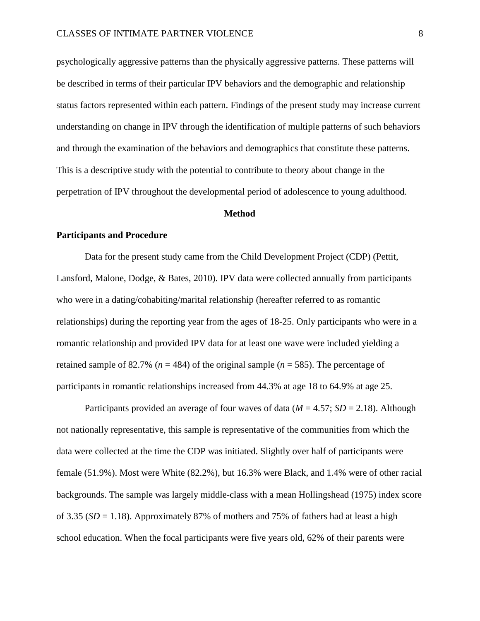psychologically aggressive patterns than the physically aggressive patterns. These patterns will be described in terms of their particular IPV behaviors and the demographic and relationship status factors represented within each pattern. Findings of the present study may increase current understanding on change in IPV through the identification of multiple patterns of such behaviors and through the examination of the behaviors and demographics that constitute these patterns. This is a descriptive study with the potential to contribute to theory about change in the perpetration of IPV throughout the developmental period of adolescence to young adulthood.

## **Method**

## **Participants and Procedure**

Data for the present study came from the Child Development Project (CDP) (Pettit, Lansford, Malone, Dodge, & Bates, 2010). IPV data were collected annually from participants who were in a dating/cohabiting/marital relationship (hereafter referred to as romantic relationships) during the reporting year from the ages of 18-25. Only participants who were in a romantic relationship and provided IPV data for at least one wave were included yielding a retained sample of 82.7% ( $n = 484$ ) of the original sample ( $n = 585$ ). The percentage of participants in romantic relationships increased from 44.3% at age 18 to 64.9% at age 25.

Participants provided an average of four waves of data ( $M = 4.57$ ;  $SD = 2.18$ ). Although not nationally representative, this sample is representative of the communities from which the data were collected at the time the CDP was initiated. Slightly over half of participants were female (51.9%). Most were White (82.2%), but 16.3% were Black, and 1.4% were of other racial backgrounds. The sample was largely middle-class with a mean Hollingshead (1975) index score of 3.35 (*SD* = 1.18). Approximately 87% of mothers and 75% of fathers had at least a high school education. When the focal participants were five years old, 62% of their parents were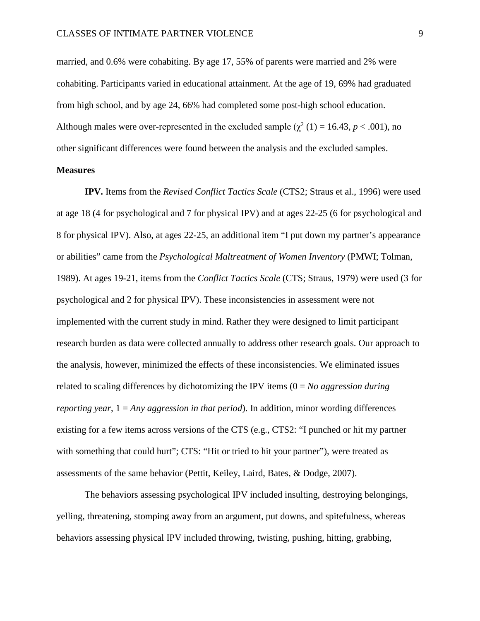married, and 0.6% were cohabiting. By age 17, 55% of parents were married and 2% were cohabiting. Participants varied in educational attainment. At the age of 19, 69% had graduated from high school, and by age 24, 66% had completed some post-high school education. Although males were over-represented in the excluded sample  $(\chi^2(1) = 16.43, p < .001)$ , no other significant differences were found between the analysis and the excluded samples.

## **Measures**

**IPV.** Items from the *Revised Conflict Tactics Scale* (CTS2; Straus et al., 1996) were used at age 18 (4 for psychological and 7 for physical IPV) and at ages 22-25 (6 for psychological and 8 for physical IPV). Also, at ages 22-25, an additional item "I put down my partner's appearance or abilities" came from the *Psychological Maltreatment of Women Inventory* (PMWI; Tolman, 1989). At ages 19-21, items from the *Conflict Tactics Scale* (CTS; Straus, 1979) were used (3 for psychological and 2 for physical IPV). These inconsistencies in assessment were not implemented with the current study in mind. Rather they were designed to limit participant research burden as data were collected annually to address other research goals. Our approach to the analysis, however, minimized the effects of these inconsistencies. We eliminated issues related to scaling differences by dichotomizing the IPV items (0 = *No aggression during reporting year*, 1 = *Any aggression in that period*). In addition, minor wording differences existing for a few items across versions of the CTS (e.g., CTS2: "I punched or hit my partner with something that could hurt"; CTS: "Hit or tried to hit your partner"), were treated as assessments of the same behavior (Pettit, Keiley, Laird, Bates, & Dodge, 2007).

The behaviors assessing psychological IPV included insulting, destroying belongings, yelling, threatening, stomping away from an argument, put downs, and spitefulness, whereas behaviors assessing physical IPV included throwing, twisting, pushing, hitting, grabbing,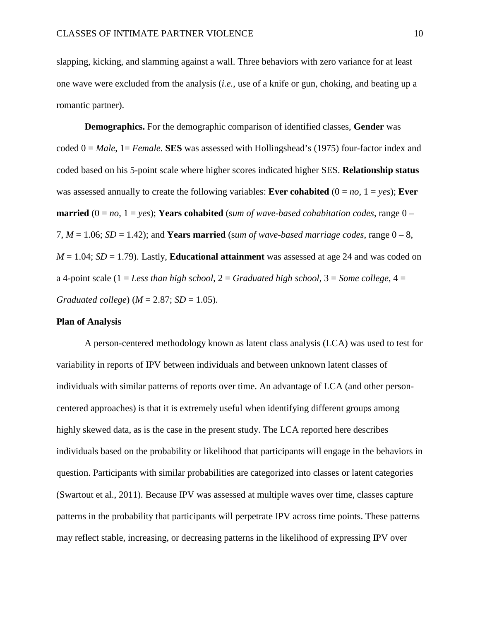slapping, kicking, and slamming against a wall. Three behaviors with zero variance for at least one wave were excluded from the analysis (*i.e.*, use of a knife or gun, choking, and beating up a romantic partner).

**Demographics.** For the demographic comparison of identified classes, **Gender** was coded 0 = *Male*, 1= *Female*. **SES** was assessed with Hollingshead's (1975) four-factor index and coded based on his 5-point scale where higher scores indicated higher SES. **Relationship status**  was assessed annually to create the following variables: **Ever cohabited**  $(0 = no, 1 = yes)$ ; **Ever married**  $(0 = no, 1 = yes)$ ; **Years cohabited** (*sum of wave-based cohabitation codes, range*  $0 -$ 7,  $M = 1.06$ ;  $SD = 1.42$ ); and **Years married** (sum of wave-based marriage codes, range  $0 - 8$ ,  $M = 1.04$ ;  $SD = 1.79$ ). Lastly, **Educational attainment** was assessed at age 24 and was coded on a 4-point scale (1 = *Less than high school*, 2 = *Graduated high school*, 3 = *Some college*, 4 = *Graduated college*) (*M* = 2.87; *SD* = 1.05).

#### **Plan of Analysis**

A person-centered methodology known as latent class analysis (LCA) was used to test for variability in reports of IPV between individuals and between unknown latent classes of individuals with similar patterns of reports over time. An advantage of LCA (and other personcentered approaches) is that it is extremely useful when identifying different groups among highly skewed data, as is the case in the present study. The LCA reported here describes individuals based on the probability or likelihood that participants will engage in the behaviors in question. Participants with similar probabilities are categorized into classes or latent categories (Swartout et al., 2011). Because IPV was assessed at multiple waves over time, classes capture patterns in the probability that participants will perpetrate IPV across time points. These patterns may reflect stable, increasing, or decreasing patterns in the likelihood of expressing IPV over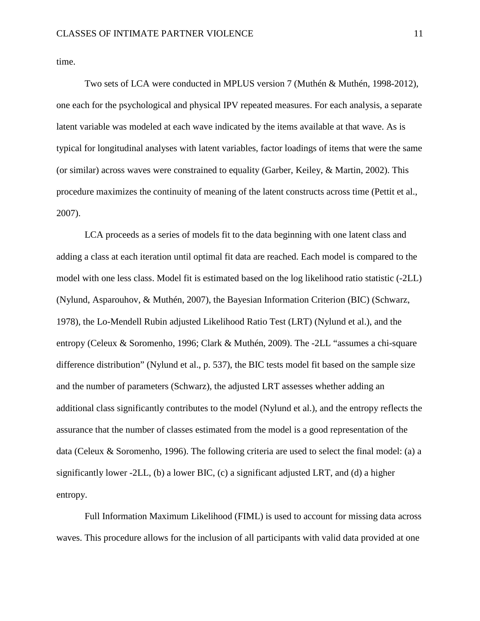time.

Two sets of LCA were conducted in MPLUS version 7 (Muthén & Muthén, 1998-2012), one each for the psychological and physical IPV repeated measures. For each analysis, a separate latent variable was modeled at each wave indicated by the items available at that wave. As is typical for longitudinal analyses with latent variables, factor loadings of items that were the same (or similar) across waves were constrained to equality (Garber, Keiley, & Martin, 2002). This procedure maximizes the continuity of meaning of the latent constructs across time (Pettit et al., 2007).

LCA proceeds as a series of models fit to the data beginning with one latent class and adding a class at each iteration until optimal fit data are reached. Each model is compared to the model with one less class. Model fit is estimated based on the log likelihood ratio statistic (-2LL) (Nylund, Asparouhov, & Muthén, 2007), the Bayesian Information Criterion (BIC) (Schwarz, 1978), the Lo-Mendell Rubin adjusted Likelihood Ratio Test (LRT) (Nylund et al.), and the entropy (Celeux & Soromenho, 1996; Clark & Muthén, 2009). The -2LL "assumes a chi-square difference distribution" (Nylund et al., p. 537), the BIC tests model fit based on the sample size and the number of parameters (Schwarz), the adjusted LRT assesses whether adding an additional class significantly contributes to the model (Nylund et al.), and the entropy reflects the assurance that the number of classes estimated from the model is a good representation of the data (Celeux & Soromenho, 1996). The following criteria are used to select the final model: (a) a significantly lower -2LL, (b) a lower BIC, (c) a significant adjusted LRT, and (d) a higher entropy.

Full Information Maximum Likelihood (FIML) is used to account for missing data across waves. This procedure allows for the inclusion of all participants with valid data provided at one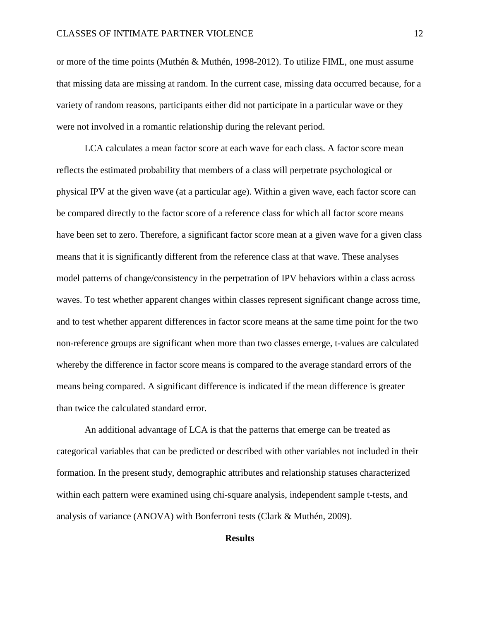or more of the time points (Muthén & Muthén, 1998-2012). To utilize FIML, one must assume that missing data are missing at random. In the current case, missing data occurred because, for a variety of random reasons, participants either did not participate in a particular wave or they were not involved in a romantic relationship during the relevant period.

LCA calculates a mean factor score at each wave for each class. A factor score mean reflects the estimated probability that members of a class will perpetrate psychological or physical IPV at the given wave (at a particular age). Within a given wave, each factor score can be compared directly to the factor score of a reference class for which all factor score means have been set to zero. Therefore, a significant factor score mean at a given wave for a given class means that it is significantly different from the reference class at that wave. These analyses model patterns of change/consistency in the perpetration of IPV behaviors within a class across waves. To test whether apparent changes within classes represent significant change across time, and to test whether apparent differences in factor score means at the same time point for the two non-reference groups are significant when more than two classes emerge, t-values are calculated whereby the difference in factor score means is compared to the average standard errors of the means being compared. A significant difference is indicated if the mean difference is greater than twice the calculated standard error.

An additional advantage of LCA is that the patterns that emerge can be treated as categorical variables that can be predicted or described with other variables not included in their formation. In the present study, demographic attributes and relationship statuses characterized within each pattern were examined using chi-square analysis, independent sample t-tests, and analysis of variance (ANOVA) with Bonferroni tests (Clark & Muthén, 2009).

## **Results**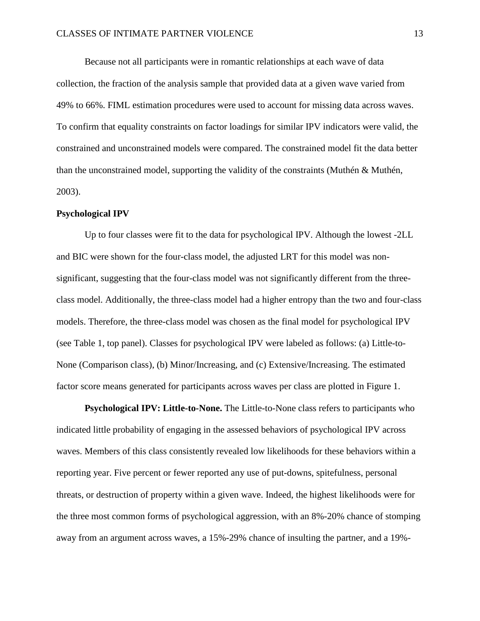Because not all participants were in romantic relationships at each wave of data collection, the fraction of the analysis sample that provided data at a given wave varied from 49% to 66%. FIML estimation procedures were used to account for missing data across waves. To confirm that equality constraints on factor loadings for similar IPV indicators were valid, the constrained and unconstrained models were compared. The constrained model fit the data better than the unconstrained model, supporting the validity of the constraints (Muthén & Muthén, 2003).

## **Psychological IPV**

Up to four classes were fit to the data for psychological IPV. Although the lowest -2LL and BIC were shown for the four-class model, the adjusted LRT for this model was nonsignificant, suggesting that the four-class model was not significantly different from the threeclass model. Additionally, the three-class model had a higher entropy than the two and four-class models. Therefore, the three-class model was chosen as the final model for psychological IPV (see Table 1, top panel). Classes for psychological IPV were labeled as follows: (a) Little-to-None (Comparison class), (b) Minor/Increasing, and (c) Extensive/Increasing. The estimated factor score means generated for participants across waves per class are plotted in Figure 1.

**Psychological IPV: Little-to-None.** The Little-to-None class refers to participants who indicated little probability of engaging in the assessed behaviors of psychological IPV across waves. Members of this class consistently revealed low likelihoods for these behaviors within a reporting year. Five percent or fewer reported any use of put-downs, spitefulness, personal threats, or destruction of property within a given wave. Indeed, the highest likelihoods were for the three most common forms of psychological aggression, with an 8%-20% chance of stomping away from an argument across waves, a 15%-29% chance of insulting the partner, and a 19%-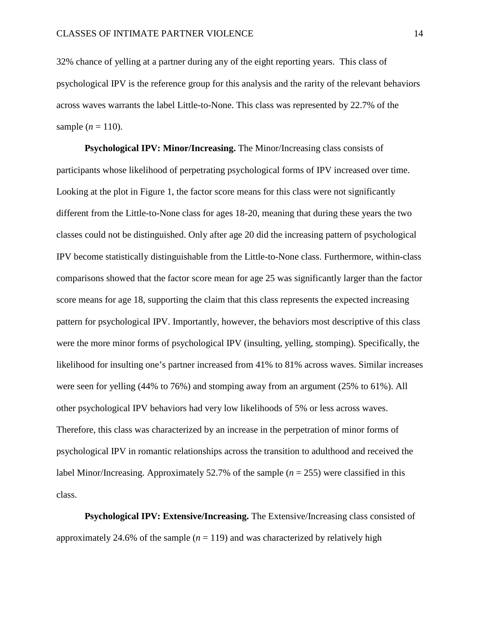32% chance of yelling at a partner during any of the eight reporting years. This class of psychological IPV is the reference group for this analysis and the rarity of the relevant behaviors across waves warrants the label Little-to-None. This class was represented by 22.7% of the sample  $(n = 110)$ .

**Psychological IPV: Minor/Increasing.** The Minor/Increasing class consists of participants whose likelihood of perpetrating psychological forms of IPV increased over time. Looking at the plot in Figure 1, the factor score means for this class were not significantly different from the Little-to-None class for ages 18-20, meaning that during these years the two classes could not be distinguished. Only after age 20 did the increasing pattern of psychological IPV become statistically distinguishable from the Little-to-None class. Furthermore, within-class comparisons showed that the factor score mean for age 25 was significantly larger than the factor score means for age 18, supporting the claim that this class represents the expected increasing pattern for psychological IPV. Importantly, however, the behaviors most descriptive of this class were the more minor forms of psychological IPV (insulting, yelling, stomping). Specifically, the likelihood for insulting one's partner increased from 41% to 81% across waves. Similar increases were seen for yelling (44% to 76%) and stomping away from an argument (25% to 61%). All other psychological IPV behaviors had very low likelihoods of 5% or less across waves. Therefore, this class was characterized by an increase in the perpetration of minor forms of psychological IPV in romantic relationships across the transition to adulthood and received the label Minor/Increasing. Approximately 52.7% of the sample (*n* = 255) were classified in this class.

**Psychological IPV: Extensive/Increasing.** The Extensive/Increasing class consisted of approximately 24.6% of the sample  $(n = 119)$  and was characterized by relatively high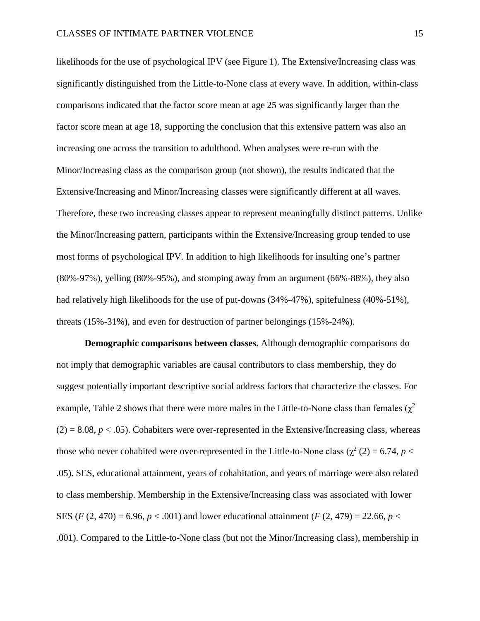likelihoods for the use of psychological IPV (see Figure 1). The Extensive/Increasing class was significantly distinguished from the Little-to-None class at every wave. In addition, within-class comparisons indicated that the factor score mean at age 25 was significantly larger than the factor score mean at age 18, supporting the conclusion that this extensive pattern was also an increasing one across the transition to adulthood. When analyses were re-run with the Minor/Increasing class as the comparison group (not shown), the results indicated that the Extensive/Increasing and Minor/Increasing classes were significantly different at all waves. Therefore, these two increasing classes appear to represent meaningfully distinct patterns. Unlike the Minor/Increasing pattern, participants within the Extensive/Increasing group tended to use most forms of psychological IPV. In addition to high likelihoods for insulting one's partner (80%-97%), yelling (80%-95%), and stomping away from an argument (66%-88%), they also had relatively high likelihoods for the use of put-downs (34%-47%), spitefulness (40%-51%), threats (15%-31%), and even for destruction of partner belongings (15%-24%).

**Demographic comparisons between classes.** Although demographic comparisons do not imply that demographic variables are causal contributors to class membership, they do suggest potentially important descriptive social address factors that characterize the classes. For example, Table 2 shows that there were more males in the Little-to-None class than females ( $\chi^2$ )  $(2) = 8.08, p < .05$ ). Cohabiters were over-represented in the Extensive/Increasing class, whereas those who never cohabited were over-represented in the Little-to-None class ( $\chi^2$  (2) = 6.74, *p* < .05). SES, educational attainment, years of cohabitation, and years of marriage were also related to class membership. Membership in the Extensive/Increasing class was associated with lower SES (*F* (2, 470) = 6.96, *p* < .001) and lower educational attainment (*F* (2, 479) = 22.66, *p* < .001). Compared to the Little-to-None class (but not the Minor/Increasing class), membership in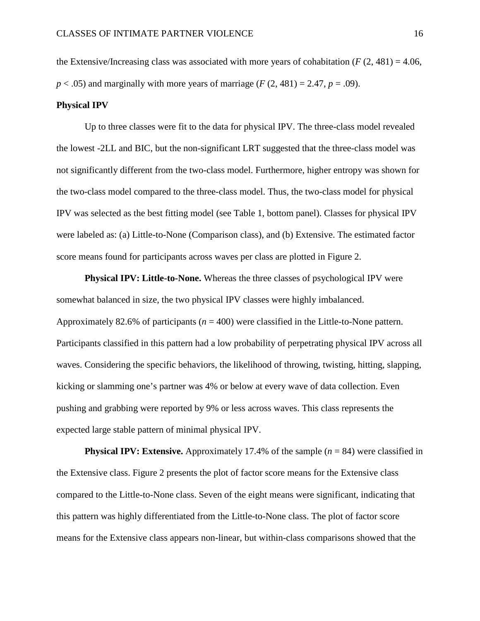the Extensive/Increasing class was associated with more years of cohabitation  $(F(2, 481) = 4.06$ ,  $p < .05$ ) and marginally with more years of marriage ( $F(2, 481) = 2.47$ ,  $p = .09$ ).

## **Physical IPV**

Up to three classes were fit to the data for physical IPV. The three-class model revealed the lowest -2LL and BIC, but the non-significant LRT suggested that the three-class model was not significantly different from the two-class model. Furthermore, higher entropy was shown for the two-class model compared to the three-class model. Thus, the two-class model for physical IPV was selected as the best fitting model (see Table 1, bottom panel). Classes for physical IPV were labeled as: (a) Little-to-None (Comparison class), and (b) Extensive. The estimated factor score means found for participants across waves per class are plotted in Figure 2.

**Physical IPV: Little-to-None.** Whereas the three classes of psychological IPV were somewhat balanced in size, the two physical IPV classes were highly imbalanced. Approximately 82.6% of participants (*n* = 400) were classified in the Little-to-None pattern. Participants classified in this pattern had a low probability of perpetrating physical IPV across all waves. Considering the specific behaviors, the likelihood of throwing, twisting, hitting, slapping, kicking or slamming one's partner was 4% or below at every wave of data collection. Even pushing and grabbing were reported by 9% or less across waves. This class represents the expected large stable pattern of minimal physical IPV.

**Physical IPV: Extensive.** Approximately 17.4% of the sample  $(n = 84)$  were classified in the Extensive class. Figure 2 presents the plot of factor score means for the Extensive class compared to the Little-to-None class. Seven of the eight means were significant, indicating that this pattern was highly differentiated from the Little-to-None class. The plot of factor score means for the Extensive class appears non-linear, but within-class comparisons showed that the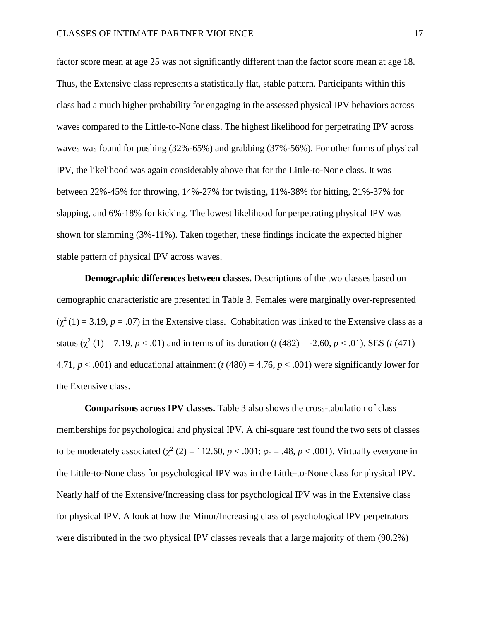factor score mean at age 25 was not significantly different than the factor score mean at age 18. Thus, the Extensive class represents a statistically flat, stable pattern. Participants within this class had a much higher probability for engaging in the assessed physical IPV behaviors across waves compared to the Little-to-None class. The highest likelihood for perpetrating IPV across waves was found for pushing (32%-65%) and grabbing (37%-56%). For other forms of physical IPV, the likelihood was again considerably above that for the Little-to-None class. It was between 22%-45% for throwing, 14%-27% for twisting, 11%-38% for hitting, 21%-37% for slapping, and 6%-18% for kicking. The lowest likelihood for perpetrating physical IPV was shown for slamming (3%-11%). Taken together, these findings indicate the expected higher stable pattern of physical IPV across waves.

**Demographic differences between classes.** Descriptions of the two classes based on demographic characteristic are presented in Table 3. Females were marginally over-represented  $(\chi^2(1) = 3.19, p = .07)$  in the Extensive class. Cohabitation was linked to the Extensive class as a status ( $\chi^2$  (1) = 7.19, *p* < .01) and in terms of its duration (*t* (482) = -2.60, *p* < .01). SES (*t* (471) = 4.71,  $p < .001$ ) and educational attainment ( $t$  (480) = 4.76,  $p < .001$ ) were significantly lower for the Extensive class.

**Comparisons across IPV classes.** Table 3 also shows the cross-tabulation of class memberships for psychological and physical IPV. A chi-square test found the two sets of classes to be moderately associated ( $\chi^2$  (2) = 112.60,  $p < .001$ ;  $\varphi_c = .48$ ,  $p < .001$ ). Virtually everyone in the Little-to-None class for psychological IPV was in the Little-to-None class for physical IPV. Nearly half of the Extensive/Increasing class for psychological IPV was in the Extensive class for physical IPV. A look at how the Minor/Increasing class of psychological IPV perpetrators were distributed in the two physical IPV classes reveals that a large majority of them (90.2%)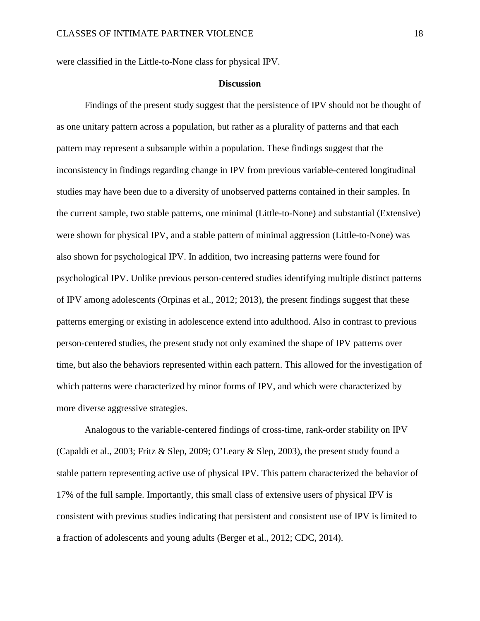were classified in the Little-to-None class for physical IPV.

## **Discussion**

Findings of the present study suggest that the persistence of IPV should not be thought of as one unitary pattern across a population, but rather as a plurality of patterns and that each pattern may represent a subsample within a population. These findings suggest that the inconsistency in findings regarding change in IPV from previous variable-centered longitudinal studies may have been due to a diversity of unobserved patterns contained in their samples. In the current sample, two stable patterns, one minimal (Little-to-None) and substantial (Extensive) were shown for physical IPV, and a stable pattern of minimal aggression (Little-to-None) was also shown for psychological IPV. In addition, two increasing patterns were found for psychological IPV. Unlike previous person-centered studies identifying multiple distinct patterns of IPV among adolescents (Orpinas et al., 2012; 2013), the present findings suggest that these patterns emerging or existing in adolescence extend into adulthood. Also in contrast to previous person-centered studies, the present study not only examined the shape of IPV patterns over time, but also the behaviors represented within each pattern. This allowed for the investigation of which patterns were characterized by minor forms of IPV, and which were characterized by more diverse aggressive strategies.

Analogous to the variable-centered findings of cross-time, rank-order stability on IPV (Capaldi et al., 2003; Fritz & Slep, 2009; O'Leary & Slep, 2003), the present study found a stable pattern representing active use of physical IPV. This pattern characterized the behavior of 17% of the full sample. Importantly, this small class of extensive users of physical IPV is consistent with previous studies indicating that persistent and consistent use of IPV is limited to a fraction of adolescents and young adults (Berger et al., 2012; CDC, 2014).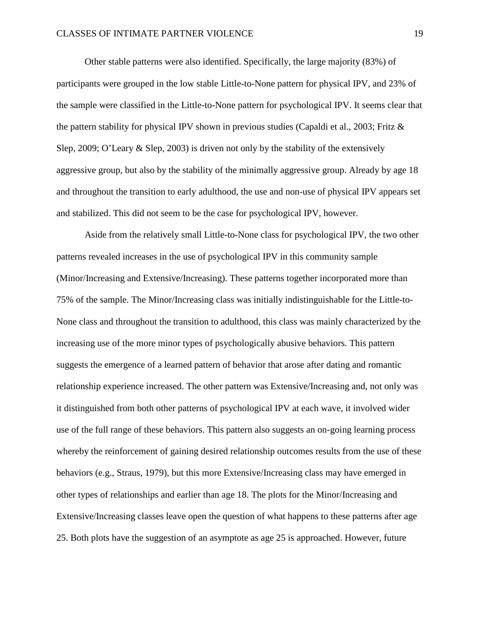Other stable patterns were also identified. Specifically, the large majority (83%) of participants were grouped in the low stable Little-to-None pattern for physical IPV, and 23% of the sample were classified in the Little-to-None pattern for psychological IPV. It seems clear that the pattern stability for physical IPV shown in previous studies (Capaldi et al., 2003; Fritz & Slep, 2009; O'Leary & Slep, 2003) is driven not only by the stability of the extensively aggressive group, but also by the stability of the minimally aggressive group. Already by age 18 and throughout the transition to early adulthood, the use and non-use of physical IPV appears set and stabilized. This did not seem to be the case for psychological IPV, however.

Aside from the relatively small Little-to-None class for psychological IPV, the two other patterns revealed increases in the use of psychological IPV in this community sample (Minor/Increasing and Extensive/Increasing). These patterns together incorporated more than 75% of the sample. The Minor/Increasing class was initially indistinguishable for the Little-to-None class and throughout the transition to adulthood, this class was mainly characterized by the increasing use of the more minor types of psychologically abusive behaviors. This pattern suggests the emergence of a learned pattern of behavior that arose after dating and romantic relationship experience increased. The other pattern was Extensive/Increasing and, not only was it distinguished from both other patterns of psychological IPV at each wave, it involved wider use of the full range of these behaviors. This pattern also suggests an on-going learning process whereby the reinforcement of gaining desired relationship outcomes results from the use of these behaviors (e.g., Straus, 1979), but this more Extensive/Increasing class may have emerged in other types of relationships and earlier than age 18. The plots for the Minor/Increasing and Extensive/Increasing classes leave open the question of what happens to these patterns after age 25. Both plots have the suggestion of an asymptote as age 25 is approached. However, future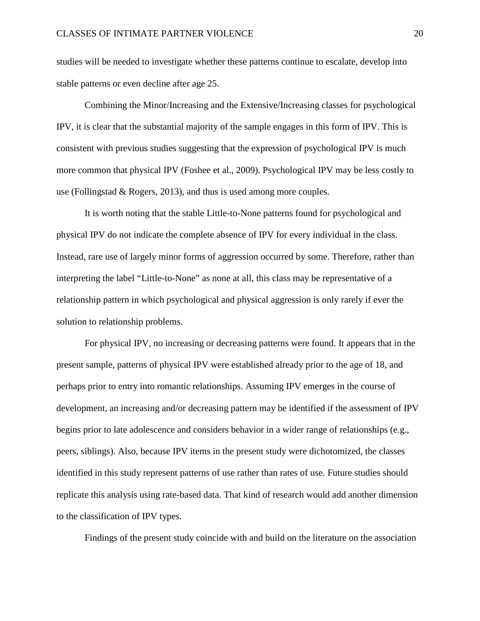studies will be needed to investigate whether these patterns continue to escalate, develop into stable patterns or even decline after age 25.

Combining the Minor/Increasing and the Extensive/Increasing classes for psychological IPV, it is clear that the substantial majority of the sample engages in this form of IPV. This is consistent with previous studies suggesting that the expression of psychological IPV is much more common that physical IPV (Foshee et al., 2009). Psychological IPV may be less costly to use (Follingstad & Rogers, 2013), and thus is used among more couples.

It is worth noting that the stable Little-to-None patterns found for psychological and physical IPV do not indicate the complete absence of IPV for every individual in the class. Instead, rare use of largely minor forms of aggression occurred by some. Therefore, rather than interpreting the label "Little-to-None" as none at all, this class may be representative of a relationship pattern in which psychological and physical aggression is only rarely if ever the solution to relationship problems.

For physical IPV, no increasing or decreasing patterns were found. It appears that in the present sample, patterns of physical IPV were established already prior to the age of 18, and perhaps prior to entry into romantic relationships. Assuming IPV emerges in the course of development, an increasing and/or decreasing pattern may be identified if the assessment of IPV begins prior to late adolescence and considers behavior in a wider range of relationships (e.g., peers, siblings). Also, because IPV items in the present study were dichotomized, the classes identified in this study represent patterns of use rather than rates of use. Future studies should replicate this analysis using rate-based data. That kind of research would add another dimension to the classification of IPV types.

Findings of the present study coincide with and build on the literature on the association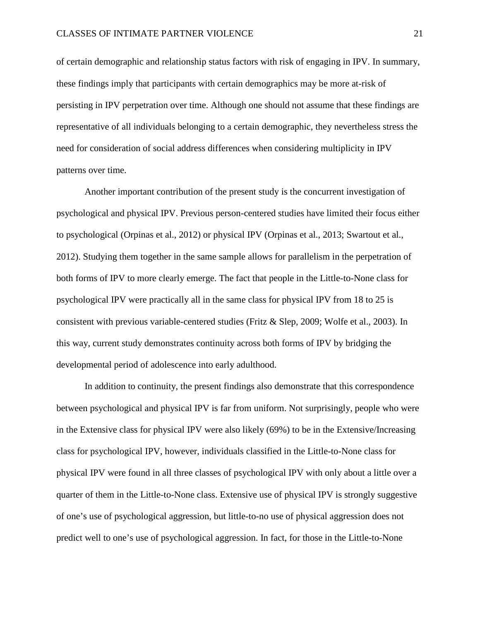of certain demographic and relationship status factors with risk of engaging in IPV. In summary, these findings imply that participants with certain demographics may be more at-risk of persisting in IPV perpetration over time. Although one should not assume that these findings are representative of all individuals belonging to a certain demographic, they nevertheless stress the need for consideration of social address differences when considering multiplicity in IPV patterns over time.

Another important contribution of the present study is the concurrent investigation of psychological and physical IPV. Previous person-centered studies have limited their focus either to psychological (Orpinas et al., 2012) or physical IPV (Orpinas et al., 2013; Swartout et al., 2012). Studying them together in the same sample allows for parallelism in the perpetration of both forms of IPV to more clearly emerge. The fact that people in the Little-to-None class for psychological IPV were practically all in the same class for physical IPV from 18 to 25 is consistent with previous variable-centered studies (Fritz & Slep, 2009; Wolfe et al., 2003). In this way, current study demonstrates continuity across both forms of IPV by bridging the developmental period of adolescence into early adulthood.

In addition to continuity, the present findings also demonstrate that this correspondence between psychological and physical IPV is far from uniform. Not surprisingly, people who were in the Extensive class for physical IPV were also likely (69%) to be in the Extensive/Increasing class for psychological IPV, however, individuals classified in the Little-to-None class for physical IPV were found in all three classes of psychological IPV with only about a little over a quarter of them in the Little-to-None class. Extensive use of physical IPV is strongly suggestive of one's use of psychological aggression, but little-to-no use of physical aggression does not predict well to one's use of psychological aggression. In fact, for those in the Little-to-None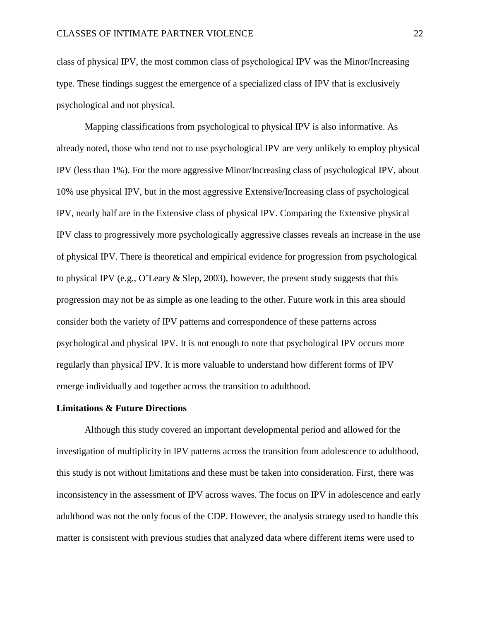class of physical IPV, the most common class of psychological IPV was the Minor/Increasing type. These findings suggest the emergence of a specialized class of IPV that is exclusively psychological and not physical.

Mapping classifications from psychological to physical IPV is also informative. As already noted, those who tend not to use psychological IPV are very unlikely to employ physical IPV (less than 1%). For the more aggressive Minor/Increasing class of psychological IPV, about 10% use physical IPV, but in the most aggressive Extensive/Increasing class of psychological IPV, nearly half are in the Extensive class of physical IPV. Comparing the Extensive physical IPV class to progressively more psychologically aggressive classes reveals an increase in the use of physical IPV. There is theoretical and empirical evidence for progression from psychological to physical IPV (e.g., O'Leary & Slep, 2003), however, the present study suggests that this progression may not be as simple as one leading to the other. Future work in this area should consider both the variety of IPV patterns and correspondence of these patterns across psychological and physical IPV. It is not enough to note that psychological IPV occurs more regularly than physical IPV. It is more valuable to understand how different forms of IPV emerge individually and together across the transition to adulthood.

#### **Limitations & Future Directions**

Although this study covered an important developmental period and allowed for the investigation of multiplicity in IPV patterns across the transition from adolescence to adulthood, this study is not without limitations and these must be taken into consideration. First, there was inconsistency in the assessment of IPV across waves. The focus on IPV in adolescence and early adulthood was not the only focus of the CDP. However, the analysis strategy used to handle this matter is consistent with previous studies that analyzed data where different items were used to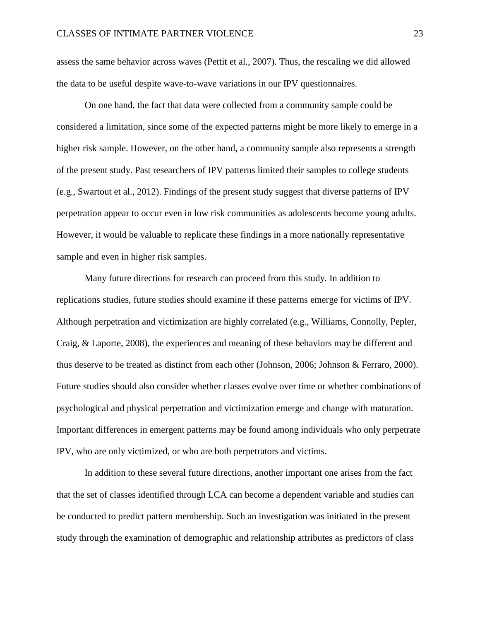assess the same behavior across waves (Pettit et al., 2007). Thus, the rescaling we did allowed the data to be useful despite wave-to-wave variations in our IPV questionnaires.

On one hand, the fact that data were collected from a community sample could be considered a limitation, since some of the expected patterns might be more likely to emerge in a higher risk sample. However, on the other hand, a community sample also represents a strength of the present study. Past researchers of IPV patterns limited their samples to college students (e.g., Swartout et al., 2012). Findings of the present study suggest that diverse patterns of IPV perpetration appear to occur even in low risk communities as adolescents become young adults. However, it would be valuable to replicate these findings in a more nationally representative sample and even in higher risk samples.

Many future directions for research can proceed from this study. In addition to replications studies, future studies should examine if these patterns emerge for victims of IPV. Although perpetration and victimization are highly correlated (e.g., Williams, Connolly, Pepler, Craig, & Laporte, 2008), the experiences and meaning of these behaviors may be different and thus deserve to be treated as distinct from each other (Johnson, 2006; Johnson & Ferraro, 2000). Future studies should also consider whether classes evolve over time or whether combinations of psychological and physical perpetration and victimization emerge and change with maturation. Important differences in emergent patterns may be found among individuals who only perpetrate IPV, who are only victimized, or who are both perpetrators and victims.

In addition to these several future directions, another important one arises from the fact that the set of classes identified through LCA can become a dependent variable and studies can be conducted to predict pattern membership. Such an investigation was initiated in the present study through the examination of demographic and relationship attributes as predictors of class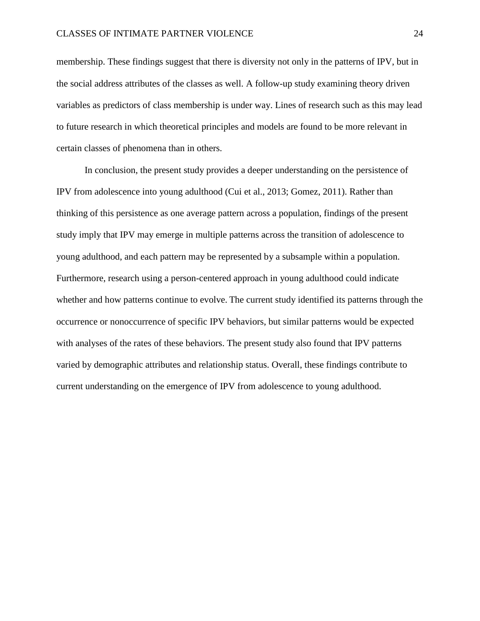membership. These findings suggest that there is diversity not only in the patterns of IPV, but in the social address attributes of the classes as well. A follow-up study examining theory driven variables as predictors of class membership is under way. Lines of research such as this may lead to future research in which theoretical principles and models are found to be more relevant in certain classes of phenomena than in others.

In conclusion, the present study provides a deeper understanding on the persistence of IPV from adolescence into young adulthood (Cui et al., 2013; Gomez, 2011). Rather than thinking of this persistence as one average pattern across a population, findings of the present study imply that IPV may emerge in multiple patterns across the transition of adolescence to young adulthood, and each pattern may be represented by a subsample within a population. Furthermore, research using a person-centered approach in young adulthood could indicate whether and how patterns continue to evolve. The current study identified its patterns through the occurrence or nonoccurrence of specific IPV behaviors, but similar patterns would be expected with analyses of the rates of these behaviors. The present study also found that IPV patterns varied by demographic attributes and relationship status. Overall, these findings contribute to current understanding on the emergence of IPV from adolescence to young adulthood.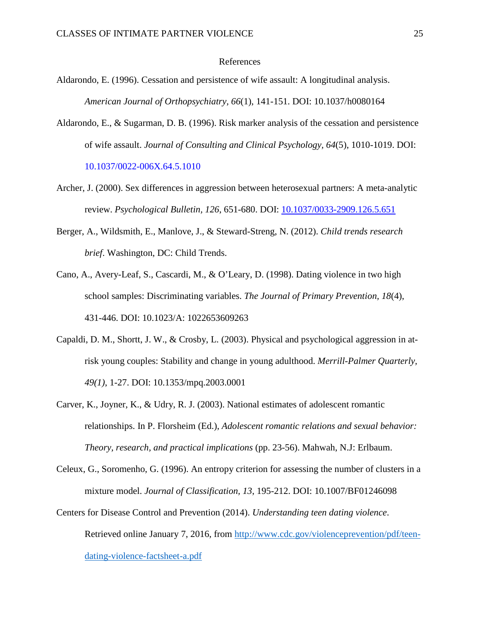#### References

- Aldarondo, E. (1996). Cessation and persistence of wife assault: A longitudinal analysis. *American Journal of Orthopsychiatry, 66*(1), 141-151. DOI: 10.1037/h0080164
- Aldarondo, E., & Sugarman, D. B. (1996). Risk marker analysis of the cessation and persistence of wife assault. *Journal of Consulting and Clinical Psychology, 64*(5), 1010-1019. DOI: 10.1037/0022-006X.64.5.1010
- Archer, J. (2000). Sex differences in aggression between heterosexual partners: A meta-analytic review. *Psychological Bulletin, 126*, 651-680. DOI: [10.1037/0033-2909.126.5.651](http://psycnet.apa.org/doi/10.1037/0033-2909.126.5.651)
- Berger, A., Wildsmith, E., Manlove, J., & Steward-Streng, N. (2012). *Child trends research brief*. Washington, DC: Child Trends.
- Cano, A., Avery-Leaf, S., Cascardi, M., & O'Leary, D. (1998). Dating violence in two high school samples: Discriminating variables. *The Journal of Primary Prevention, 18*(4), 431-446. DOI: 10.1023/A: 1022653609263
- Capaldi, D. M., Shortt, J. W., & Crosby, L. (2003). Physical and psychological aggression in atrisk young couples: Stability and change in young adulthood. *Merrill-Palmer Quarterly, 49(1)*, 1-27. DOI: 10.1353/mpq.2003.0001
- Carver, K., Joyner, K., & Udry, R. J. (2003). National estimates of adolescent romantic relationships. In P. Florsheim (Ed.), *Adolescent romantic relations and sexual behavior: Theory, research, and practical implications* (pp. 23-56). Mahwah, N.J: Erlbaum.
- Celeux, G., Soromenho, G. (1996). An entropy criterion for assessing the number of clusters in a mixture model. *Journal of Classification, 13*, 195-212. DOI: 10.1007/BF01246098
- Centers for Disease Control and Prevention (2014). *Understanding teen dating violence*. Retrieved online January 7, 2016, from [http://www.cdc.gov/violenceprevention/pdf/teen](http://www.cdc.gov/violenceprevention/pdf/teen-dating-violence-factsheet-a.pdf)[dating-violence-factsheet-a.pdf](http://www.cdc.gov/violenceprevention/pdf/teen-dating-violence-factsheet-a.pdf)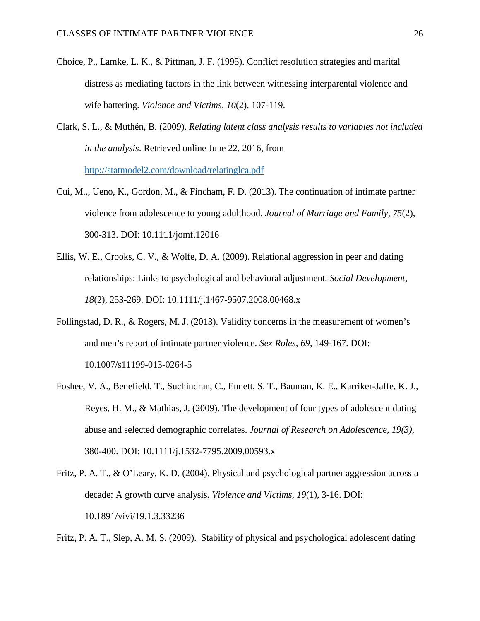- Choice, P., Lamke, L. K., & Pittman, J. F. (1995). Conflict resolution strategies and marital distress as mediating factors in the link between witnessing interparental violence and wife battering. *Violence and Victims, 10*(2), 107-119.
- Clark, S. L., & Muthén, B. (2009). *Relating latent class analysis results to variables not included in the analysis*. Retrieved online June 22, 2016, from <http://statmodel2.com/download/relatinglca.pdf>
- Cui, M.., Ueno, K., Gordon, M., & Fincham, F. D. (2013). The continuation of intimate partner violence from adolescence to young adulthood. *Journal of Marriage and Family, 75*(2), 300-313. DOI: 10.1111/jomf.12016
- Ellis, W. E., Crooks, C. V., & Wolfe, D. A. (2009). Relational aggression in peer and dating relationships: Links to psychological and behavioral adjustment. *Social Development, 18*(2), 253-269. DOI: 10.1111/j.1467-9507.2008.00468.x
- Follingstad, D. R., & Rogers, M. J. (2013). Validity concerns in the measurement of women's and men's report of intimate partner violence. *Sex Roles, 69*, 149-167. DOI: 10.1007/s11199-013-0264-5
- Foshee, V. A., Benefield, T., Suchindran, C., Ennett, S. T., Bauman, K. E., Karriker-Jaffe, K. J., Reyes, H. M., & Mathias, J. (2009). The development of four types of adolescent dating abuse and selected demographic correlates. *Journal of Research on Adolescence, 19(3)*, 380-400. DOI: 10.1111/j.1532-7795.2009.00593.x
- Fritz, P. A. T., & O'Leary, K. D. (2004). Physical and psychological partner aggression across a decade: A growth curve analysis. *Violence and Victims, 19*(1), 3-16. DOI: 10.1891/vivi/19.1.3.33236

Fritz, P. A. T., Slep, A. M. S. (2009). Stability of physical and psychological adolescent dating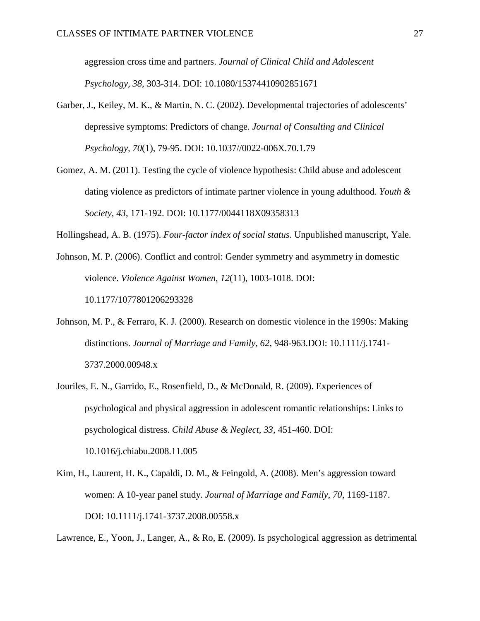aggression cross time and partners. *Journal of Clinical Child and Adolescent Psychology, 38*, 303-314. DOI: 10.1080/15374410902851671

- Garber, J., Keiley, M. K., & Martin, N. C. (2002). Developmental trajectories of adolescents' depressive symptoms: Predictors of change. *Journal of Consulting and Clinical Psychology, 70*(1), 79-95. DOI: 10.1037//0022-006X.70.1.79
- Gomez, A. M. (2011). Testing the cycle of violence hypothesis: Child abuse and adolescent dating violence as predictors of intimate partner violence in young adulthood. *Youth & Society, 43*, 171-192. DOI: 10.1177/0044118X09358313

Hollingshead, A. B. (1975). *Four-factor index of social status*. Unpublished manuscript, Yale.

- Johnson, M. P. (2006). Conflict and control: Gender symmetry and asymmetry in domestic violence. *Violence Against Women, 12*(11), 1003-1018. DOI: 10.1177/1077801206293328
- Johnson, M. P., & Ferraro, K. J. (2000). Research on domestic violence in the 1990s: Making distinctions. *Journal of Marriage and Family, 62*, 948-963.DOI: 10.1111/j.1741- 3737.2000.00948.x
- Jouriles, E. N., Garrido, E., Rosenfield, D., & McDonald, R. (2009). Experiences of psychological and physical aggression in adolescent romantic relationships: Links to psychological distress. *Child Abuse & Neglect, 33*, 451-460. DOI: 10.1016/j.chiabu.2008.11.005
- Kim, H., Laurent, H. K., Capaldi, D. M., & Feingold, A. (2008). Men's aggression toward women: A 10-year panel study. *Journal of Marriage and Family, 70*, 1169-1187. DOI: 10.1111/j.1741-3737.2008.00558.x

Lawrence, E., Yoon, J., Langer, A., & Ro, E. (2009). Is psychological aggression as detrimental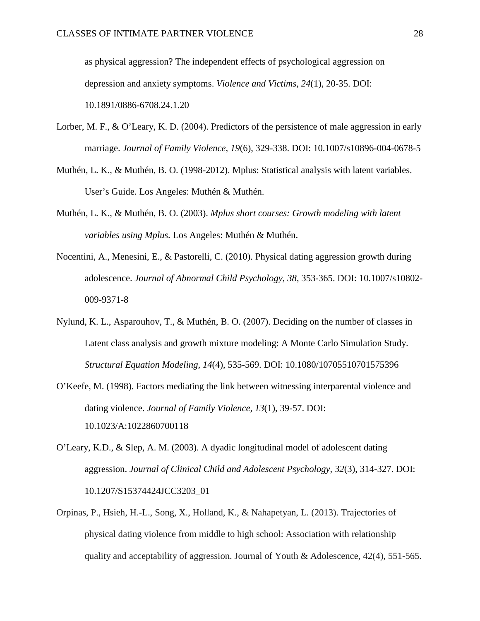as physical aggression? The independent effects of psychological aggression on depression and anxiety symptoms. *Violence and Victims, 24*(1), 20-35. DOI: [10.1891/0886-6708.24.1.20](https://doi.org/10.1891/0886-6708.24.1.20)

- Lorber, M. F., & O'Leary, K. D. (2004). Predictors of the persistence of male aggression in early marriage. *Journal of Family Violence, 19*(6), 329-338. DOI: 10.1007/s10896-004-0678-5
- Muthén, L. K., & Muthén, B. O. (1998-2012). Mplus: Statistical analysis with latent variables. User's Guide. Los Angeles: Muthén & Muthén.
- Muthén, L. K., & Muthén, B. O. (2003). *Mplus short courses: Growth modeling with latent variables using Mplus.* Los Angeles: Muthén & Muthén.
- Nocentini, A., Menesini, E., & Pastorelli, C. (2010). Physical dating aggression growth during adolescence. *Journal of Abnormal Child Psychology, 38*, 353-365. DOI: 10.1007/s10802- 009-9371-8
- Nylund, K. L., Asparouhov, T., & Muthén, B. O. (2007). Deciding on the number of classes in Latent class analysis and growth mixture modeling: A Monte Carlo Simulation Study. *Structural Equation Modeling, 14*(4), 535-569. DOI: 10.1080/10705510701575396
- O'Keefe, M. (1998). Factors mediating the link between witnessing interparental violence and dating violence. *Journal of Family Violence, 13*(1), 39-57. DOI: 10.1023/A:1022860700118
- O'Leary, K.D., & Slep, A. M. (2003). A dyadic longitudinal model of adolescent dating aggression. *Journal of Clinical Child and Adolescent Psychology, 32*(3), 314-327. DOI: 10.1207/S15374424JCC3203\_01
- Orpinas, P., Hsieh, H.-L., Song, X., Holland, K., & Nahapetyan, L. (2013). Trajectories of physical dating violence from middle to high school: Association with relationship quality and acceptability of aggression. Journal of Youth & Adolescence, 42(4), 551-565.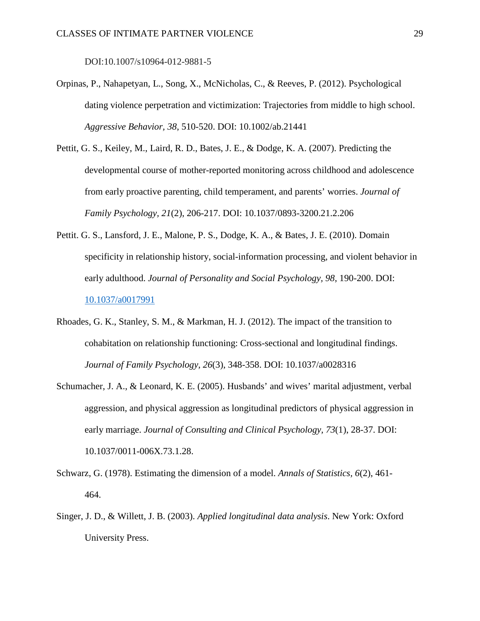DOI:10.1007/s10964-012-9881-5

- Orpinas, P., Nahapetyan, L., Song, X., McNicholas, C., & Reeves, P. (2012). Psychological dating violence perpetration and victimization: Trajectories from middle to high school. *Aggressive Behavior, 38*, 510-520. DOI: 10.1002/ab.21441
- Pettit, G. S., Keiley, M., Laird, R. D., Bates, J. E., & Dodge, K. A. (2007). Predicting the developmental course of mother-reported monitoring across childhood and adolescence from early proactive parenting, child temperament, and parents' worries. *Journal of Family Psychology, 21*(2), 206-217. DOI: 10.1037/0893-3200.21.2.206
- Pettit. G. S., Lansford, J. E., Malone, P. S., Dodge, K. A., & Bates, J. E. (2010). Domain specificity in relationship history, social-information processing, and violent behavior in early adulthood. *Journal of Personality and Social Psychology, 98*, 190-200. DOI: [10.1037/a0017991](http://psycnet.apa.org/doi/10.1037/a0017991)
- Rhoades, G. K., Stanley, S. M., & Markman, H. J. (2012). The impact of the transition to cohabitation on relationship functioning: Cross-sectional and longitudinal findings. *Journal of Family Psychology, 26*(3), 348-358. DOI: 10.1037/a0028316
- Schumacher, J. A., & Leonard, K. E. (2005). Husbands' and wives' marital adjustment, verbal aggression, and physical aggression as longitudinal predictors of physical aggression in early marriage. *Journal of Consulting and Clinical Psychology, 73*(1), 28-37. DOI: 10.1037/0011-006X.73.1.28.
- Schwarz, G. (1978). Estimating the dimension of a model. *Annals of Statistics, 6*(2), 461- 464.
- Singer, J. D., & Willett, J. B. (2003). *Applied longitudinal data analysis*. New York: Oxford University Press.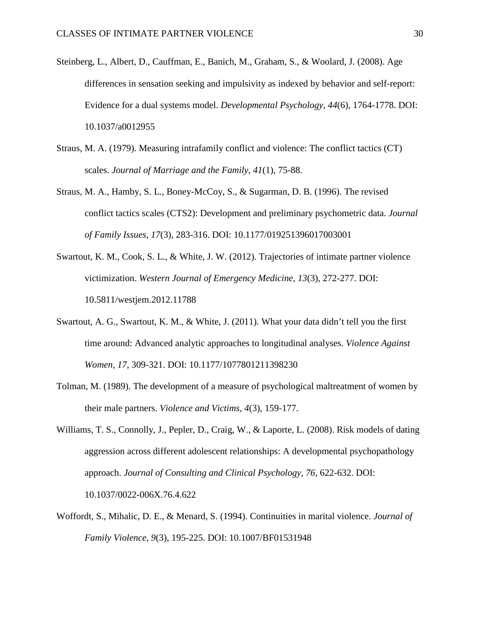- Steinberg, L., Albert, D., Cauffman, E., Banich, M., Graham, S., & Woolard, J. (2008). Age differences in sensation seeking and impulsivity as indexed by behavior and self-report: Evidence for a dual systems model. *Developmental Psychology, 44*(6), 1764-1778. DOI: 10.1037/a0012955
- Straus, M. A. (1979). Measuring intrafamily conflict and violence: The conflict tactics (CT) scales. *Journal of Marriage and the Family, 41*(1), 75-88.
- Straus, M. A., Hamby, S. L., Boney-McCoy, S., & Sugarman, D. B. (1996). The revised conflict tactics scales (CTS2): Development and preliminary psychometric data. *Journal of Family Issues, 17*(3), 283-316. DOI: 10.1177/019251396017003001
- Swartout, K. M., Cook, S. L., & White, J. W. (2012). Trajectories of intimate partner violence victimization. *Western Journal of Emergency Medicine, 13*(3), 272-277. DOI: 10.5811/westjem.2012.11788
- Swartout, A. G., Swartout, K. M., & White, J. (2011). What your data didn't tell you the first time around: Advanced analytic approaches to longitudinal analyses. *Violence Against Women*, *17*, 309-321. DOI: 10.1177/1077801211398230
- Tolman, M. (1989). The development of a measure of psychological maltreatment of women by their male partners. *Violence and Victims, 4*(3), 159-177.
- Williams, T. S., Connolly, J., Pepler, D., Craig, W., & Laporte, L. (2008). Risk models of dating aggression across different adolescent relationships: A developmental psychopathology approach. *Journal of Consulting and Clinical Psychology, 76*, 622-632. DOI: [10.1037/0022-006X.76.4.622](http://psycnet.apa.org/doi/10.1037/0022-006X.76.4.622)
- Woffordt, S., Mihalic, D. E., & Menard, S. (1994). Continuities in marital violence. *Journal of Family Violence, 9*(3), 195-225. DOI: 10.1007/BF01531948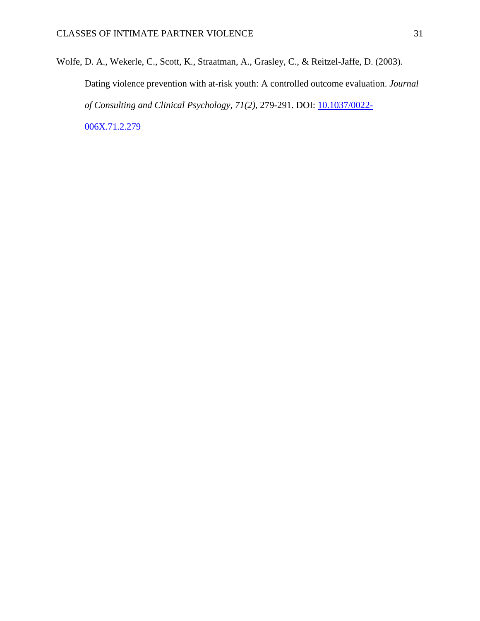Wolfe, D. A., Wekerle, C., Scott, K., Straatman, A., Grasley, C., & Reitzel-Jaffe, D. (2003). Dating violence prevention with at-risk youth: A controlled outcome evaluation. *Journal of Consulting and Clinical Psychology, 71(2)*, 279-291. DOI: [10.1037/0022-](http://psycnet.apa.org/doi/10.1037/0022-006X.71.2.279) [006X.71.2.279](http://psycnet.apa.org/doi/10.1037/0022-006X.71.2.279)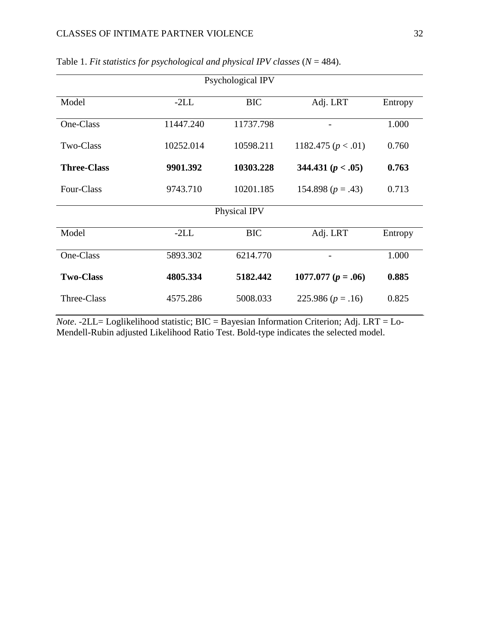| Psychological IPV  |           |            |                        |         |  |  |  |
|--------------------|-----------|------------|------------------------|---------|--|--|--|
| Model              | $-2LL$    | <b>BIC</b> | Adj. LRT               | Entropy |  |  |  |
| One-Class          | 11447.240 | 11737.798  |                        | 1.000   |  |  |  |
| Two-Class          | 10252.014 | 10598.211  | 1182.475 ( $p < .01$ ) | 0.760   |  |  |  |
| <b>Three-Class</b> | 9901.392  | 10303.228  | 344.431 $(p < .05)$    | 0.763   |  |  |  |
| Four-Class         | 9743.710  | 10201.185  | 154.898 $(p=.43)$      | 0.713   |  |  |  |
| Physical IPV       |           |            |                        |         |  |  |  |
| Model              | $-2LL$    | <b>BIC</b> | Adj. LRT               | Entropy |  |  |  |
| One-Class          | 5893.302  | 6214.770   |                        | 1.000   |  |  |  |
| <b>Two-Class</b>   | 4805.334  | 5182.442   | 1077.077 ( $p = .06$ ) | 0.885   |  |  |  |
| Three-Class        | 4575.286  | 5008.033   | 225.986 $(p=.16)$      | 0.825   |  |  |  |

Table 1. *Fit statistics for psychological and physical IPV classes* (*N* = 484).

*Note*. -2LL= Loglikelihood statistic; BIC = Bayesian Information Criterion; Adj. LRT = Lo-Mendell-Rubin adjusted Likelihood Ratio Test. Bold-type indicates the selected model.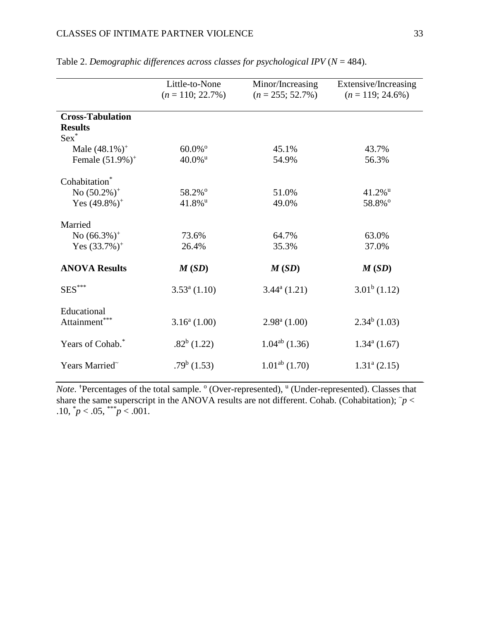|                              | Little-to-None<br>$(n = 110; 22.7\%)$ | Minor/Increasing<br>$(n = 255; 52.7\%)$ | Extensive/Increasing<br>$(n = 119; 24.6\%)$ |
|------------------------------|---------------------------------------|-----------------------------------------|---------------------------------------------|
| <b>Cross-Tabulation</b>      |                                       |                                         |                                             |
| <b>Results</b><br>$Sex^*$    |                                       |                                         |                                             |
| Male $(48.1\%)^+$            | $60.0\%$ <sup>o</sup>                 | 45.1%                                   | 43.7%                                       |
| Female $(51.9\%)^+$          | $40.0\%$ <sup>u</sup>                 | 54.9%                                   | 56.3%                                       |
| Cohabitation <sup>*</sup>    |                                       |                                         |                                             |
| No $(50.2\%)^+$              | 58.2%°                                | 51.0%                                   | $41.2\%$ <sup>u</sup>                       |
| Yes $(49.8\%)^+$             | $41.8\%$ <sup>u</sup>                 | 49.0%                                   | 58.8%°                                      |
| Married                      |                                       |                                         |                                             |
| No $(66.3\%)^+$              | 73.6%                                 | 64.7%                                   | 63.0%                                       |
| Yes $(33.7\%)^+$             | 26.4%                                 | 35.3%                                   | 37.0%                                       |
| <b>ANOVA Results</b>         | M(SD)                                 | M(SD)                                   | M(SD)                                       |
| $SES***$                     | $3.53^{\circ}$ (1.10)                 | $3.44^{\mathrm{a}}(1.21)$               | $3.01^b$ (1.12)                             |
| Educational<br>Attainment*** | $3.16^a(1.00)$                        | $2.98^{\text{a}}$ (1.00)                | $2.34^b$ (1.03)                             |
|                              |                                       |                                         |                                             |
| Years of Cohab. <sup>*</sup> | $.82^b$ (1.22)                        | $1.04^{ab}$ (1.36)                      | $1.34^a(1.67)$                              |
| Years Married~               | $.79b$ (1.53)                         | $1.01ab$ (1.70)                         | $1.31a$ (2.15)                              |

Table 2. *Demographic differences across classes for psychological IPV*  $(N = 484)$ .

*Note*. <sup>†</sup>Percentages of the total sample. <sup>o</sup> (Over-represented), <sup>u</sup> (Under-represented). Classes that share the same superscript in the ANOVA results are not different. Cohab. (Cohabitation);  $\tilde{p}$  < .10,  $\gamma p < .05$ ,  $\gamma p < .001$ .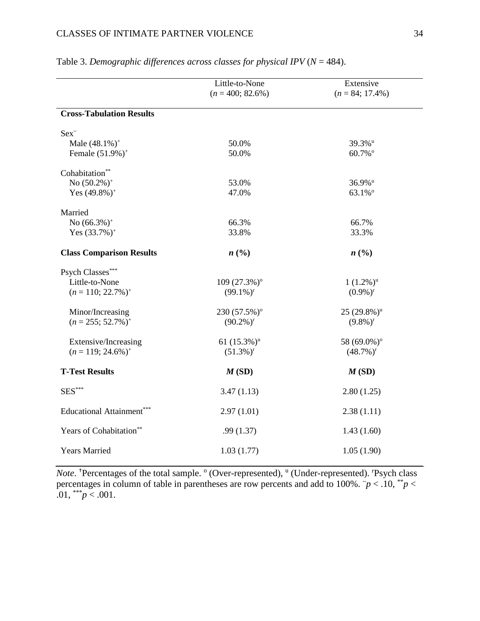|                                   | Little-to-None             | Extensive                 |
|-----------------------------------|----------------------------|---------------------------|
|                                   | $(n = 400; 82.6\%)$        | $(n = 84; 17.4\%)$        |
| <b>Cross-Tabulation Results</b>   |                            |                           |
| Sex                               |                            |                           |
| Male $(48.1\%)^+$                 | 50.0%                      | 39.3%u                    |
| Female (51.9%) <sup>+</sup>       | 50.0%                      | 60.7%°                    |
| Cohabitation**                    |                            |                           |
| No $(50.2\%)^+$                   | 53.0%                      | 36.9% <sup>u</sup>        |
| Yes $(49.8\%)^+$                  | 47.0%                      | 63.1%°                    |
| Married                           |                            |                           |
| No $(66.3\%)^+$                   | 66.3%                      | 66.7%                     |
| Yes $(33.7%)^+$                   | 33.8%                      | 33.3%                     |
| <b>Class Comparison Results</b>   | n(%)                       | n(%                       |
| Psych Classes***                  |                            |                           |
| Little-to-None                    | 109 (27.3%) <sup>o</sup>   | $1(1.2\%)^u$              |
| $(n = 110; 22.7\%)$ <sup>+</sup>  | $(99.1\%)^r$               | $(0.9\%)^r$               |
| Minor/Increasing                  | 230 (57.5%) <sup>o</sup>   | $25(29.8\%)$ <sup>u</sup> |
| $(n = 255; 52.7\%)^+$             | $(90.2\%)^r$               | $(9.8\%)^r$               |
| Extensive/Increasing              | 61 $(15.3\%)$ <sup>u</sup> | 58 (69.0%) <sup>o</sup>   |
| $(n = 119; 24.6\%)$ <sup>+</sup>  | $(51.3\%)^r$               | $(48.7\%)^r$              |
| <b>T-Test Results</b>             | M(SD)                      | M(SD)                     |
| $SES***$                          | 3.47(1.13)                 | 2.80(1.25)                |
| <b>Educational Attainment</b> *** | 2.97(1.01)                 | 2.38(1.11)                |
| Years of Cohabitation**           | .99(1.37)                  | 1.43(1.60)                |
| <b>Years Married</b>              | 1.03(1.77)                 | 1.05(1.90)                |

|  | Table 3. Demographic differences across classes for physical IPV ( $N = 484$ ). |  |  |
|--|---------------------------------------------------------------------------------|--|--|
|  |                                                                                 |  |  |

Note. <sup>+</sup>Percentages of the total sample. <sup>o</sup> (Over-represented), <sup>u</sup> (Under-represented). 'Psych class percentages in column of table in parentheses are row percents and add to 100%.  $\tilde{p}$  < .10,  $\tilde{p}$  < .01,  $*^{**}p < .001$ .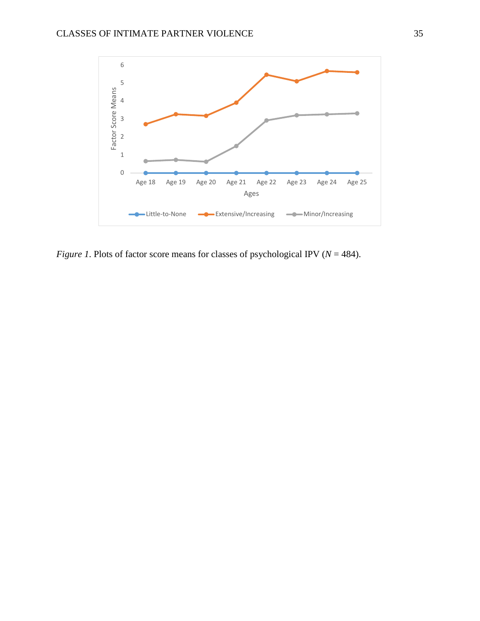

*Figure 1*. Plots of factor score means for classes of psychological IPV ( $N = 484$ ).